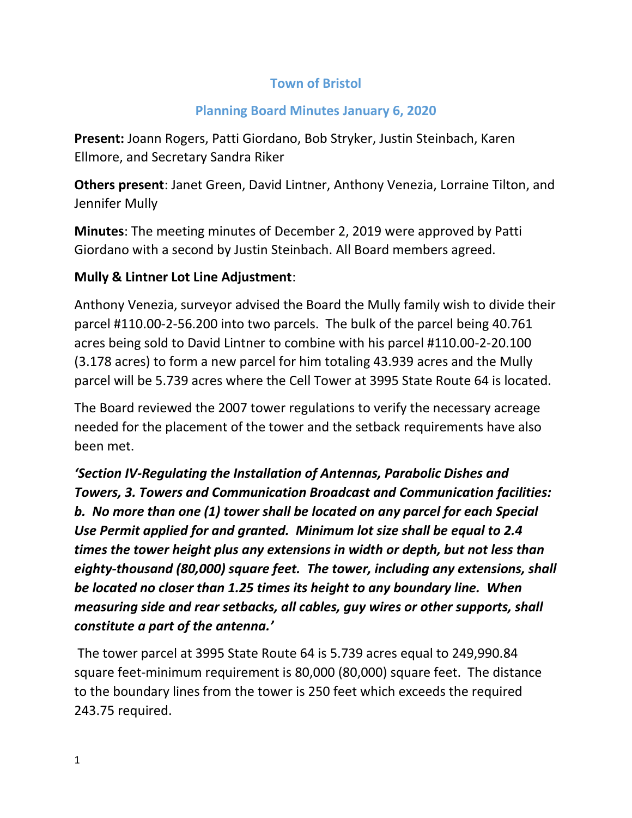#### **Town of Bristol**

#### **Planning Board Minutes January 6, 2020**

**Present:** Joann Rogers, Patti Giordano, Bob Stryker, Justin Steinbach, Karen Ellmore, and Secretary Sandra Riker

**Others present**: Janet Green, David Lintner, Anthony Venezia, Lorraine Tilton, and Jennifer Mully

**Minutes**: The meeting minutes of December 2, 2019 were approved by Patti Giordano with a second by Justin Steinbach. All Board members agreed.

#### **Mully & Lintner Lot Line Adjustment**:

Anthony Venezia, surveyor advised the Board the Mully family wish to divide their parcel #110.00-2-56.200 into two parcels. The bulk of the parcel being 40.761 acres being sold to David Lintner to combine with his parcel #110.00-2-20.100 (3.178 acres) to form a new parcel for him totaling 43.939 acres and the Mully parcel will be 5.739 acres where the Cell Tower at 3995 State Route 64 is located.

The Board reviewed the 2007 tower regulations to verify the necessary acreage needed for the placement of the tower and the setback requirements have also been met.

# *'Section IV-Regulating the Installation of Antennas, Parabolic Dishes and Towers, 3. Towers and Communication Broadcast and Communication facilities: b. No more than one (1) tower shall be located on any parcel for each Special Use Permit applied for and granted. Minimum lot size shall be equal to 2.4 times the tower height plus any extensions in width or depth, but not less than eighty-thousand (80,000) square feet. The tower, including any extensions, shall be located no closer than 1.25 times its height to any boundary line. When measuring side and rear setbacks, all cables, guy wires or other supports, shall constitute a part of the antenna.'*

The tower parcel at 3995 State Route 64 is 5.739 acres equal to 249,990.84 square feet-minimum requirement is 80,000 (80,000) square feet. The distance to the boundary lines from the tower is 250 feet which exceeds the required 243.75 required.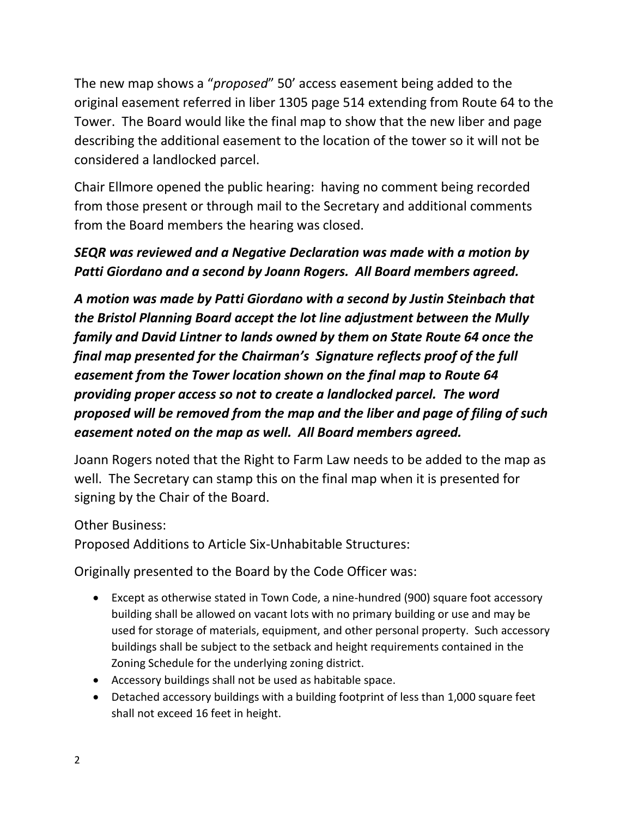The new map shows a "*proposed*" 50' access easement being added to the original easement referred in liber 1305 page 514 extending from Route 64 to the Tower. The Board would like the final map to show that the new liber and page describing the additional easement to the location of the tower so it will not be considered a landlocked parcel.

Chair Ellmore opened the public hearing: having no comment being recorded from those present or through mail to the Secretary and additional comments from the Board members the hearing was closed.

### *SEQR was reviewed and a Negative Declaration was made with a motion by Patti Giordano and a second by Joann Rogers. All Board members agreed.*

*A motion was made by Patti Giordano with a second by Justin Steinbach that the Bristol Planning Board accept the lot line adjustment between the Mully family and David Lintner to lands owned by them on State Route 64 once the final map presented for the Chairman's Signature reflects proof of the full easement from the Tower location shown on the final map to Route 64 providing proper access so not to create a landlocked parcel. The word proposed will be removed from the map and the liber and page of filing of such easement noted on the map as well. All Board members agreed.*

Joann Rogers noted that the Right to Farm Law needs to be added to the map as well. The Secretary can stamp this on the final map when it is presented for signing by the Chair of the Board.

Other Business:

Proposed Additions to Article Six-Unhabitable Structures:

Originally presented to the Board by the Code Officer was:

- Except as otherwise stated in Town Code, a nine-hundred (900) square foot accessory building shall be allowed on vacant lots with no primary building or use and may be used for storage of materials, equipment, and other personal property. Such accessory buildings shall be subject to the setback and height requirements contained in the Zoning Schedule for the underlying zoning district.
- Accessory buildings shall not be used as habitable space.
- Detached accessory buildings with a building footprint of less than 1,000 square feet shall not exceed 16 feet in height.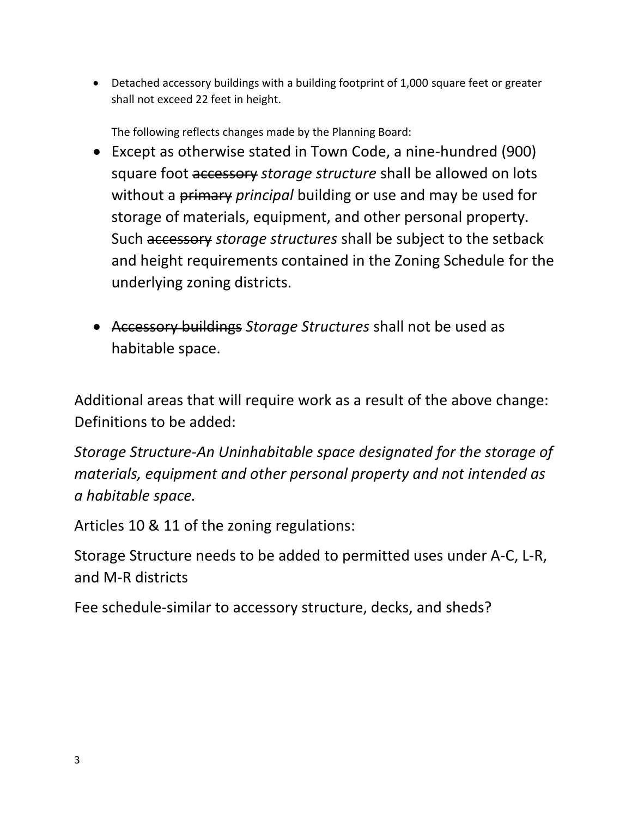• Detached accessory buildings with a building footprint of 1,000 square feet or greater shall not exceed 22 feet in height.

The following reflects changes made by the Planning Board:

- Except as otherwise stated in Town Code, a nine-hundred (900) square foot accessory *storage structure* shall be allowed on lots without a primary *principal* building or use and may be used for storage of materials, equipment, and other personal property. Such accessory *storage structures* shall be subject to the setback and height requirements contained in the Zoning Schedule for the underlying zoning districts.
- Accessory buildings *Storage Structures* shall not be used as habitable space.

Additional areas that will require work as a result of the above change: Definitions to be added:

*Storage Structure-An Uninhabitable space designated for the storage of materials, equipment and other personal property and not intended as a habitable space.*

Articles 10 & 11 of the zoning regulations:

Storage Structure needs to be added to permitted uses under A-C, L-R, and M-R districts

Fee schedule-similar to accessory structure, decks, and sheds?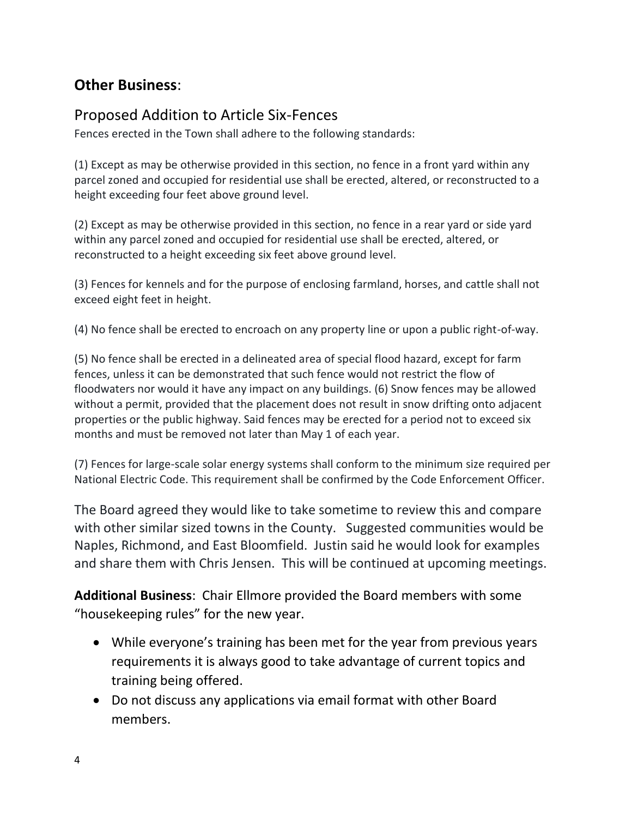## **Other Business**:

# Proposed Addition to Article Six-Fences

Fences erected in the Town shall adhere to the following standards:

(1) Except as may be otherwise provided in this section, no fence in a front yard within any parcel zoned and occupied for residential use shall be erected, altered, or reconstructed to a height exceeding four feet above ground level.

(2) Except as may be otherwise provided in this section, no fence in a rear yard or side yard within any parcel zoned and occupied for residential use shall be erected, altered, or reconstructed to a height exceeding six feet above ground level.

(3) Fences for kennels and for the purpose of enclosing farmland, horses, and cattle shall not exceed eight feet in height.

(4) No fence shall be erected to encroach on any property line or upon a public right-of-way.

(5) No fence shall be erected in a delineated area of special flood hazard, except for farm fences, unless it can be demonstrated that such fence would not restrict the flow of floodwaters nor would it have any impact on any buildings. (6) Snow fences may be allowed without a permit, provided that the placement does not result in snow drifting onto adjacent properties or the public highway. Said fences may be erected for a period not to exceed six months and must be removed not later than May 1 of each year.

(7) Fences for large-scale solar energy systems shall conform to the minimum size required per National Electric Code. This requirement shall be confirmed by the Code Enforcement Officer.

The Board agreed they would like to take sometime to review this and compare with other similar sized towns in the County. Suggested communities would be Naples, Richmond, and East Bloomfield. Justin said he would look for examples and share them with Chris Jensen. This will be continued at upcoming meetings.

**Additional Business**: Chair Ellmore provided the Board members with some "housekeeping rules" for the new year.

- While everyone's training has been met for the year from previous years requirements it is always good to take advantage of current topics and training being offered.
- Do not discuss any applications via email format with other Board members.